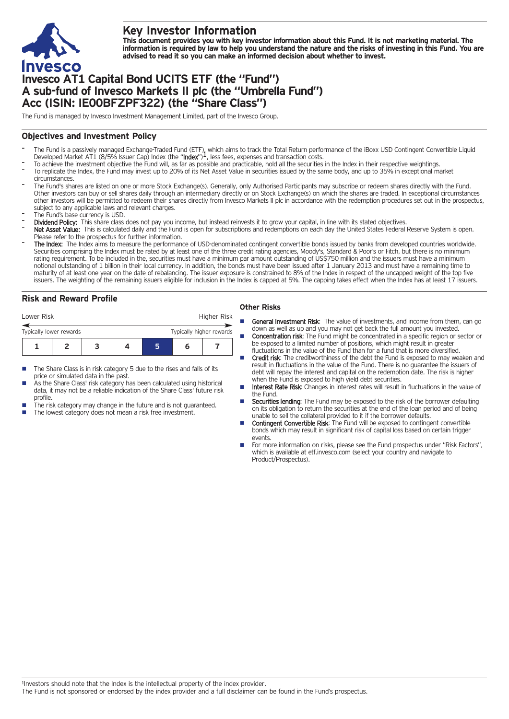

# **Key Investor Information**

This document provides you with key investor information about this Fund. It is not marketing material. The information is required by law to help you understand the nature and the risks of investing in this Fund. You are **advised to read it so you can make an informed decision about whether to invest.**

# **Invesco AT1 Capital Bond UCITS ETF (the "Fund") A sub-fund of Invesco Markets II plc (the "Umbrella Fund") Acc (ISIN: IE00BFZPF322) (the "Share Class")**

The Fund is managed by Invesco Investment Management Limited, part of the Invesco Group.

### **Objectives and Investment Policy**

- The Fund is a passively managed Exchange-Traded Fund (ETF), which aims to track the Total Return performance of the iBoxx USD Contingent Convertible Liquid<br>Developed Market AT1 (8/5% Issuer Cap) Index (the "**Index**")<sup>1</sup>, l
- To achieve the investment objective the Fund will, as far as possible and practicable, hold all the securities in the Index in their respective weightings.
- To replicate the Index, the Fund may invest up to 20% of its Net Asset Value in securities issued by the same body, and up to 35% in exceptional market circumstances.
- The Fund's shares are listed on one or more Stock Exchange(s). Generally, only Authorised Participants may subscribe or redeem shares directly with the Fund. Other investors can buy or sell shares daily through an intermediary directly or on Stock Exchange(s) on which the shares are traded. In exceptional circumstances other investors will be permitted to redeem their shares directly from Invesco Markets II plc in accordance with the redemption procedures set out in the prospectus, subject to any applicable laws and relevant charges.
- The Fund's base currency is USD.
- Dividend Policy: This share class does not pay you income, but instead reinvests it to grow your capital, in line with its stated objectives.
- Net Asset Value: This is calculated daily and the Fund is open for subscriptions and redemptions on each day the United States Federal Reserve System is open. Please refer to the prospectus for further information.
- The Index: The Index aims to measure the performance of USD-denominated contingent convertible bonds issued by banks from developed countries worldwide. Securities comprising the Index must be rated by at least one of the three credit rating agencies, Moody's, Standard & Poor's or Fitch, but there is no minimum rating requirement. To be included in the, securities must have a minimum par amount outstanding of US\$750 million and the issuers must have a minimum notional outstanding of 1 billion in their local currency. In addition, the bonds must have been issued after 1 January 2013 and must have a remaining time to maturity of at least one year on the date of rebalancing. The issuer exposure is constrained to 8% of the Index in respect of the uncapped weight of the top five issuers. The weighting of the remaining issuers eligible for inclusion in the Index is capped at 5%. The capping takes effect when the Index has at least 17 issuers.

## **Risk and Reward Profile**

| Lower Risk              |  |  |  |  | Higher Risk              |  |  |
|-------------------------|--|--|--|--|--------------------------|--|--|
| Typically lower rewards |  |  |  |  | Typically higher rewards |  |  |
|                         |  |  |  |  | n                        |  |  |

- The Share Class is in risk category 5 due to the rises and falls of its price or simulated data in the past.
- As the Share Class' risk category has been calculated using historical data, it may not be a reliable indication of the Share Class' future risk profile.
- The risk category may change in the future and is not guaranteed.
- The lowest category does not mean a risk free investment.

#### **Other Risks**

- **General Investment Risk:** The value of investments, and income from them, can go down as well as up and you may not get back the full amount you invested.
- **Concentration risk:** The Fund might be concentrated in a specific region or sector or be exposed to a limited number of positions, which might result in greater fluctuations in the value of the Fund than for a fund that is more diversified.
- Credit risk: The creditworthiness of the debt the Fund is exposed to may weaken and result in fluctuations in the value of the Fund. There is no guarantee the issuers of debt will repay the interest and capital on the redemption date. The risk is higher when the Fund is exposed to high yield debt securities.
- Interest Rate Risk: Changes in interest rates will result in fluctuations in the value of the Fund.
- **Securities lending:** The Fund may be exposed to the risk of the borrower defaulting on its obligation to return the securities at the end of the loan period and of being unable to sell the collateral provided to it if the borrower defaults.
- **n** Contingent Convertible Risk: The Fund will be exposed to contingent convertible bonds which may result in significant risk of capital loss based on certain trigger events.
- For more information on risks, please see the Fund prospectus under "Risk Factors", which is available at etf.invesco.com (select your country and navigate to Product/Prospectus).